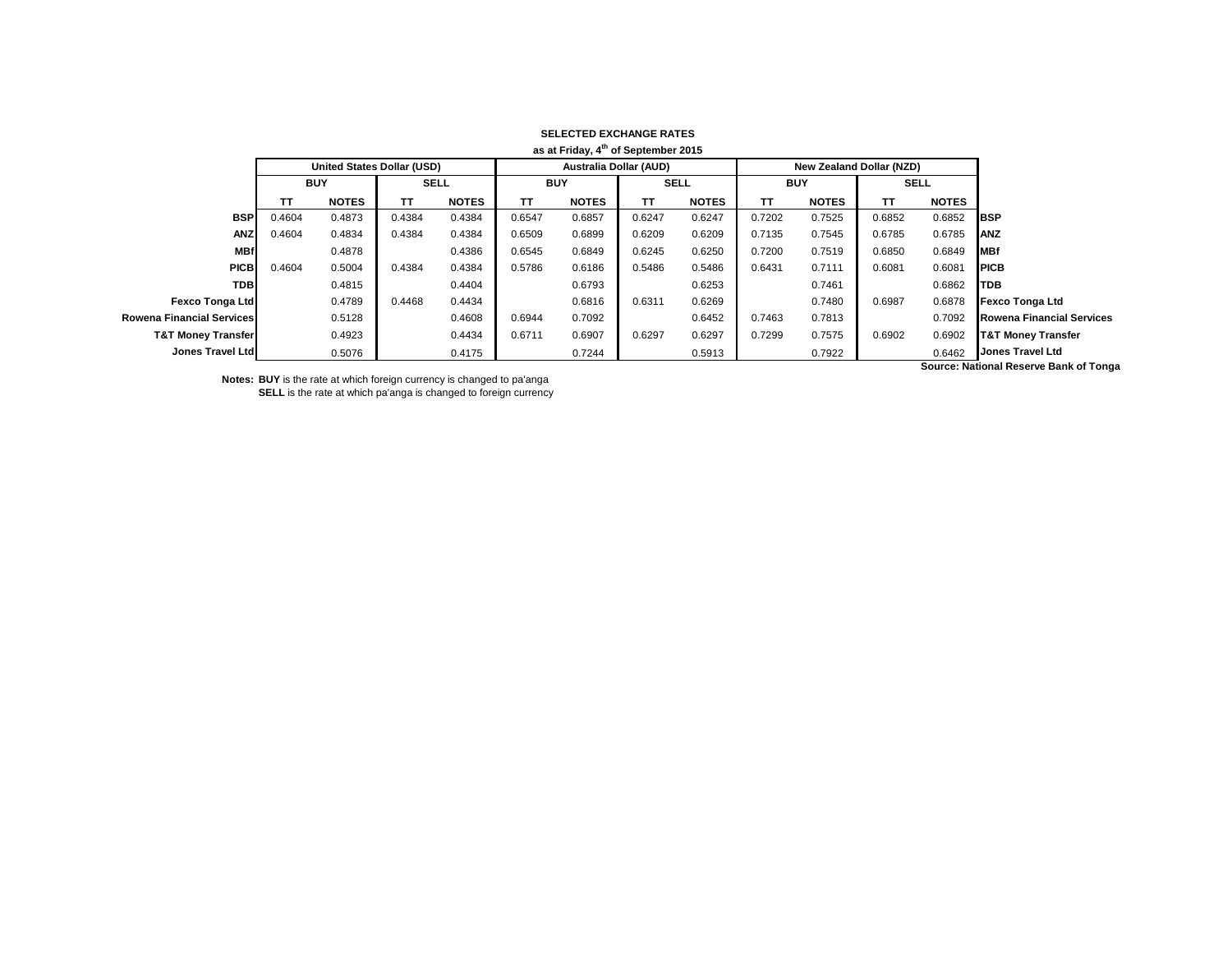|                                  |                                   |              |             |              |                               | as at Friday, 4 <sup>th</sup> of September 2015 |             |              |            |                                 |             |              |                                       |
|----------------------------------|-----------------------------------|--------------|-------------|--------------|-------------------------------|-------------------------------------------------|-------------|--------------|------------|---------------------------------|-------------|--------------|---------------------------------------|
|                                  | <b>United States Dollar (USD)</b> |              |             |              | <b>Australia Dollar (AUD)</b> |                                                 |             |              |            | <b>New Zealand Dollar (NZD)</b> |             |              |                                       |
|                                  | <b>BUY</b>                        |              | <b>SELL</b> |              | <b>BUY</b>                    |                                                 | <b>SELL</b> |              | <b>BUY</b> |                                 | <b>SELL</b> |              |                                       |
|                                  | TΤ                                | <b>NOTES</b> | тт          | <b>NOTES</b> | <b>TT</b>                     | <b>NOTES</b>                                    | TΤ          | <b>NOTES</b> | TΤ         | <b>NOTES</b>                    | ΤT          | <b>NOTES</b> |                                       |
| <b>BSP</b>                       | 0.4604                            | 0.4873       | 0.4384      | 0.4384       | 0.6547                        | 0.6857                                          | 0.6247      | 0.6247       | 0.7202     | 0.7525                          | 0.6852      | 0.6852       | <b>BSP</b>                            |
| <b>ANZ</b>                       | 0.4604                            | 0.4834       | 0.4384      | 0.4384       | 0.6509                        | 0.6899                                          | 0.6209      | 0.6209       | 0.7135     | 0.7545                          | 0.6785      | 0.6785       | <b>IANZ</b>                           |
| <b>MBf</b>                       |                                   | 0.4878       |             | 0.4386       | 0.6545                        | 0.6849                                          | 0.6245      | 0.6250       | 0.7200     | 0.7519                          | 0.6850      | 0.6849       | <b>MBf</b>                            |
| <b>PICB</b>                      | 0.4604                            | 0.5004       | 0.4384      | 0.4384       | 0.5786                        | 0.6186                                          | 0.5486      | 0.5486       | 0.6431     | 0.7111                          | 0.6081      | 0.6081       | <b>IPICB</b>                          |
| <b>TDB</b>                       |                                   | 0.4815       |             | 0.4404       |                               | 0.6793                                          |             | 0.6253       |            | 0.7461                          |             | 0.6862       | <b>ITDB</b>                           |
| <b>Fexco Tonga Ltd</b>           |                                   | 0.4789       | 0.4468      | 0.4434       |                               | 0.6816                                          | 0.6311      | 0.6269       |            | 0.7480                          | 0.6987      | 0.6878       | Fexco Tonga Ltd                       |
| <b>Rowena Financial Services</b> |                                   | 0.5128       |             | 0.4608       | 0.6944                        | 0.7092                                          |             | 0.6452       | 0.7463     | 0.7813                          |             | 0.7092       | <b>Rowena Financial Services</b>      |
| <b>T&amp;T Money Transfer</b>    |                                   | 0.4923       |             | 0.4434       | 0.6711                        | 0.6907                                          | 0.6297      | 0.6297       | 0.7299     | 0.7575                          | 0.6902      | 0.6902       | <b>T&amp;T Money Transfer</b>         |
| Jones Travel Ltd                 |                                   | 0.5076       |             | 0.4175       |                               | 0.7244                                          |             | 0.5913       |            | 0.7922                          |             | 0.6462       | Jones Travel Ltd                      |
|                                  |                                   |              |             |              |                               |                                                 |             |              |            |                                 |             |              | Source: National Pecerus Rank of Tong |

## **SELECTED EXCHANGE RATES**

**Notes: BUY** is the rate at which foreign currency is changed to pa'anga **SELL** is the rate at which pa'anga is changed to foreign currency **Source: National Reserve Bank of Tonga**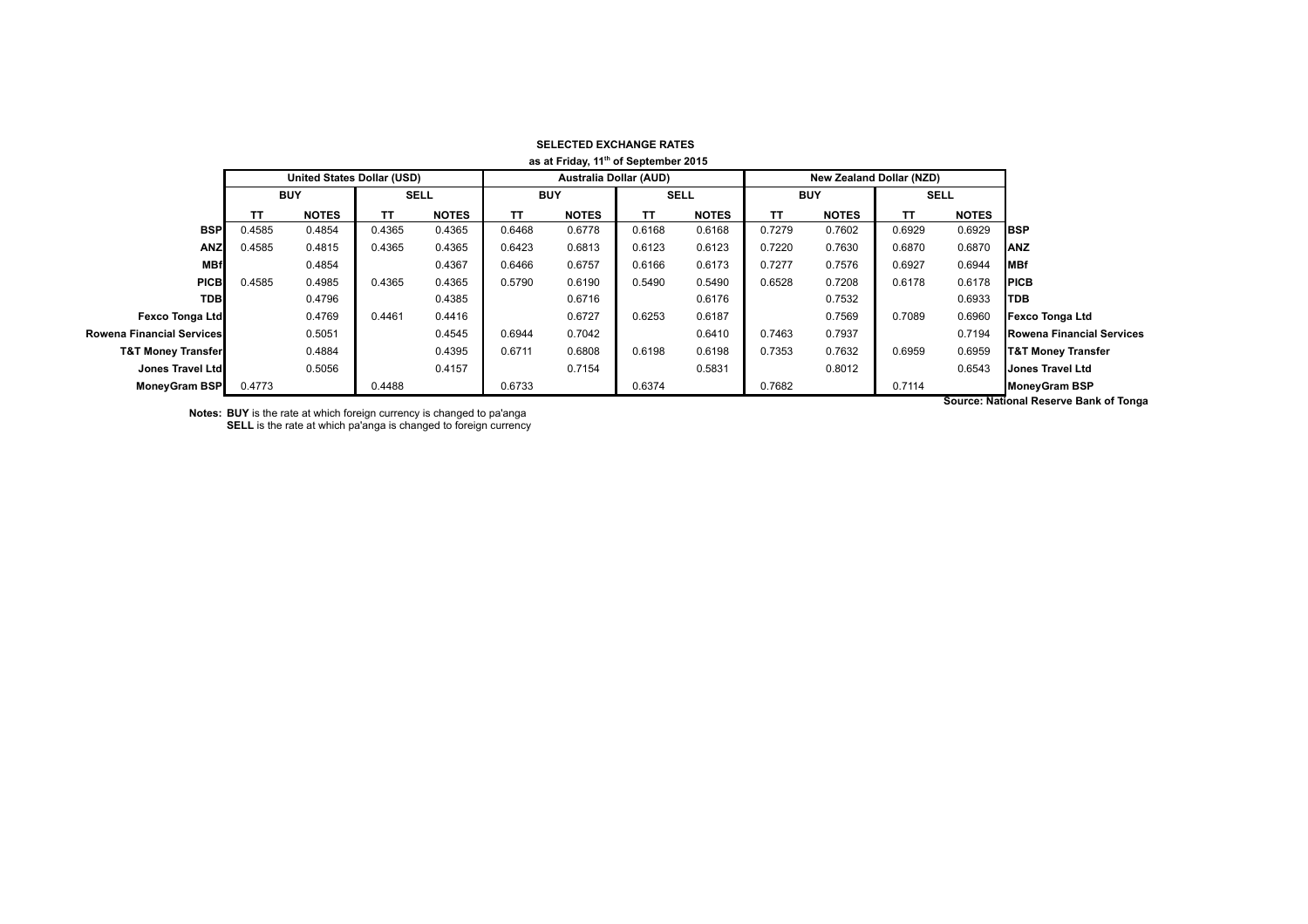| as at Friday, 11" of September 2015 |                                   |              |             |              |                               |              |           |              |                                 |              |             |              |                                       |
|-------------------------------------|-----------------------------------|--------------|-------------|--------------|-------------------------------|--------------|-----------|--------------|---------------------------------|--------------|-------------|--------------|---------------------------------------|
|                                     | <b>United States Dollar (USD)</b> |              |             |              | <b>Australia Dollar (AUD)</b> |              |           |              | <b>New Zealand Dollar (NZD)</b> |              |             |              |                                       |
|                                     | <b>BUY</b>                        |              | <b>SELL</b> |              | <b>BUY</b>                    |              | SELL      |              | <b>BUY</b>                      |              | <b>SELL</b> |              |                                       |
|                                     | ТΤ                                | <b>NOTES</b> | <b>TT</b>   | <b>NOTES</b> | TΤ                            | <b>NOTES</b> | <b>TT</b> | <b>NOTES</b> | TΤ                              | <b>NOTES</b> | TΤ          | <b>NOTES</b> |                                       |
| <b>BSP</b>                          | 0.4585                            | 0.4854       | 0.4365      | 0.4365       | 0.6468                        | 0.6778       | 0.6168    | 0.6168       | 0.7279                          | 0.7602       | 0.6929      | 0.6929       | <b>IBSP</b>                           |
| <b>ANZ</b>                          | 0.4585                            | 0.4815       | 0.4365      | 0.4365       | 0.6423                        | 0.6813       | 0.6123    | 0.6123       | 0.7220                          | 0.7630       | 0.6870      | 0.6870       | ANZ                                   |
| <b>MBf</b>                          |                                   | 0.4854       |             | 0.4367       | 0.6466                        | 0.6757       | 0.6166    | 0.6173       | 0.7277                          | 0.7576       | 0.6927      | 0.6944       | <b>IMBf</b>                           |
| <b>PICB</b>                         | 0.4585                            | 0.4985       | 0.4365      | 0.4365       | 0.5790                        | 0.6190       | 0.5490    | 0.5490       | 0.6528                          | 0.7208       | 0.6178      | 0.6178       | <b>IPICB</b>                          |
| <b>TDBI</b>                         |                                   | 0.4796       |             | 0.4385       |                               | 0.6716       |           | 0.6176       |                                 | 0.7532       |             | 0.6933       | <b>ITDB</b>                           |
| Fexco Tonga Ltd                     |                                   | 0.4769       | 0.4461      | 0.4416       |                               | 0.6727       | 0.6253    | 0.6187       |                                 | 0.7569       | 0.7089      | 0.6960       | <b>Fexco Tonga Ltd</b>                |
| <b>Rowena Financial Services</b>    |                                   | 0.5051       |             | 0.4545       | 0.6944                        | 0.7042       |           | 0.6410       | 0.7463                          | 0.7937       |             | 0.7194       | <b>Rowena Financial Services</b>      |
| <b>T&amp;T Money Transfer</b>       |                                   | 0.4884       |             | 0.4395       | 0.6711                        | 0.6808       | 0.6198    | 0.6198       | 0.7353                          | 0.7632       | 0.6959      | 0.6959       | <b>T&amp;T Money Transfer</b>         |
| Jones Travel Ltd                    |                                   | 0.5056       |             | 0.4157       |                               | 0.7154       |           | 0.5831       |                                 | 0.8012       |             | 0.6543       | Jones Travel Ltd                      |
| MoneyGram BSP                       | 0.4773                            |              | 0.4488      |              | 0.6733                        |              | 0.6374    |              | 0.7682                          |              | 0.7114      |              | <b>MoneyGram BSP</b>                  |
|                                     |                                   |              |             |              |                               |              |           |              |                                 |              |             |              | Course: Netional Desemie Dank of Tong |

## **SELECTED EXCHANGE RATES as at Friday, 11th of September 2015**

**Notes: BUY** is the rate at which foreign currency is changed to pa'anga **SELL** is the rate at which pa'anga is changed to foreign currency

**Source: National Reserve Bank of Tonga**